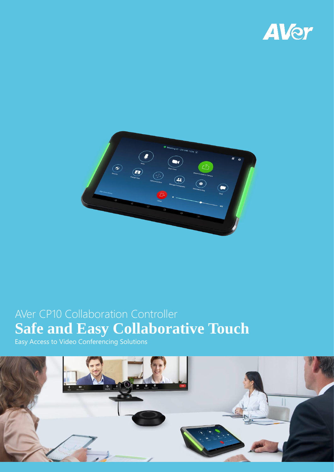



# AVer CP10 Collaboration Controller **Safe and Easy Collaborative Touch**

Easy Access to Video Conferencing Solutions